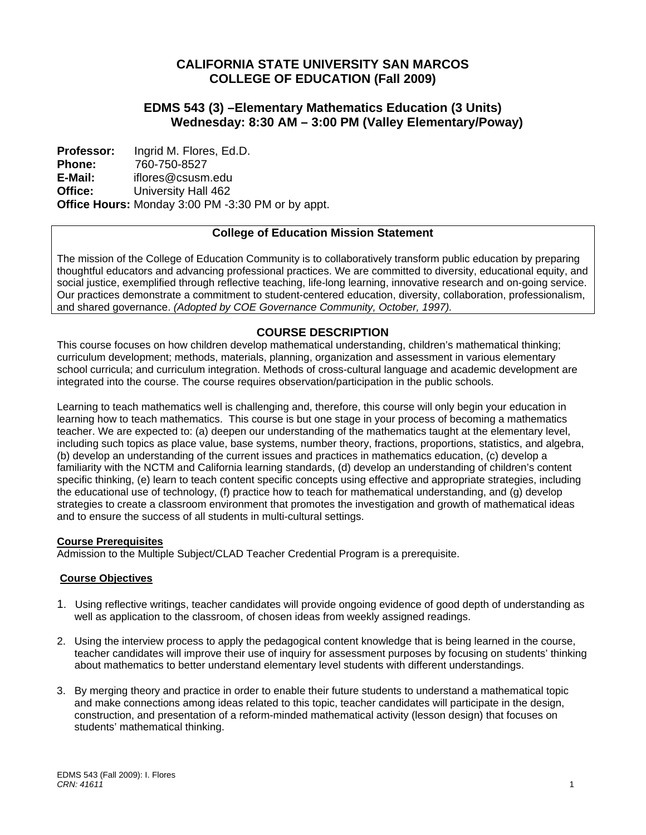# **CALIFORNIA STATE UNIVERSITY SAN MARCOS COLLEGE OF EDUCATION (Fall 2009)**

# **EDMS 543 (3) –Elementary Mathematics Education (3 Units) Wednesday: 8:30 AM – 3:00 PM (Valley Elementary/Poway)**

 **Office: Professor: Phone: E-Mail:**  Ingrid M. Flores, Ed.D. 760-750-8527 iflores@csusm.edu University Hall 462 **Office Hours:** Monday 3:00 PM -3:30 PM or by appt.

## **College of Education Mission Statement**

The mission of the College of Education Community is to collaboratively transform public education by preparing thoughtful educators and advancing professional practices. We are committed to diversity, educational equity, and social justice, exemplified through reflective teaching, life-long learning, innovative research and on-going service. Our practices demonstrate a commitment to student-centered education, diversity, collaboration, professionalism, and shared governance. *(Adopted by COE Governance Community, October, 1997).* 

# **COURSE DESCRIPTION**

This course focuses on how children develop mathematical understanding, children's mathematical thinking; curriculum development; methods, materials, planning, organization and assessment in various elementary school curricula; and curriculum integration. Methods of cross-cultural language and academic development are integrated into the course. The course requires observation/participation in the public schools.

Learning to teach mathematics well is challenging and, therefore, this course will only begin your education in learning how to teach mathematics. This course is but one stage in your process of becoming a mathematics teacher. We are expected to: (a) deepen our understanding of the mathematics taught at the elementary level, including such topics as place value, base systems, number theory, fractions, proportions, statistics, and algebra, (b) develop an understanding of the current issues and practices in mathematics education, (c) develop a familiarity with the NCTM and California learning standards, (d) develop an understanding of children's content specific thinking, (e) learn to teach content specific concepts using effective and appropriate strategies, including the educational use of technology, (f) practice how to teach for mathematical understanding, and (g) develop strategies to create a classroom environment that promotes the investigation and growth of mathematical ideas and to ensure the success of all students in multi-cultural settings.

#### **Course Prerequisites**

Admission to the Multiple Subject/CLAD Teacher Credential Program is a prerequisite.

#### **Course Objectives**

- 1. Using reflective writings, teacher candidates will provide ongoing evidence of good depth of understanding as well as application to the classroom, of chosen ideas from weekly assigned readings.
- 2. Using the interview process to apply the pedagogical content knowledge that is being learned in the course, teacher candidates will improve their use of inquiry for assessment purposes by focusing on students' thinking about mathematics to better understand elementary level students with different understandings.
- 3. By merging theory and practice in order to enable their future students to understand a mathematical topic and make connections among ideas related to this topic, teacher candidates will participate in the design, construction, and presentation of a reform-minded mathematical activity (lesson design) that focuses on students' mathematical thinking.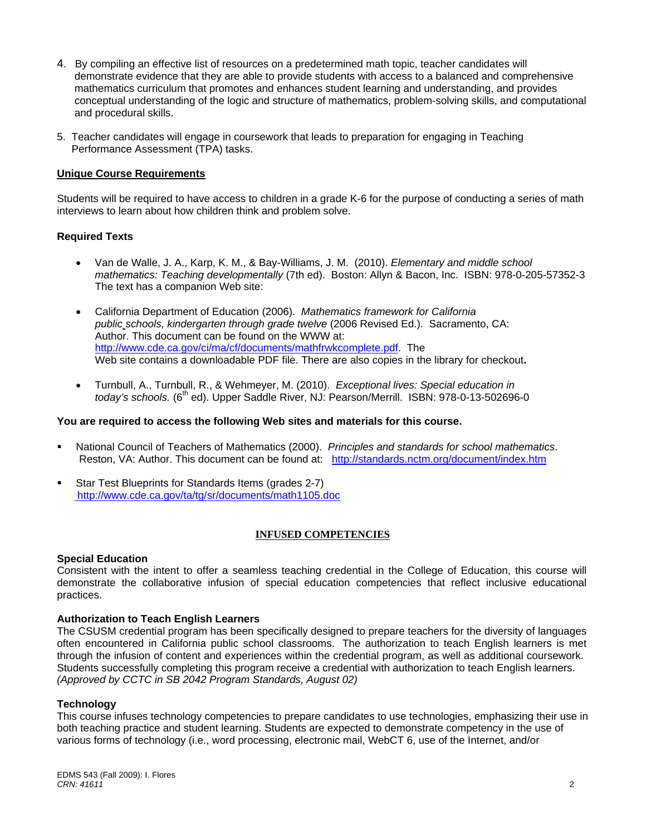- 4. By compiling an effective list of resources on a predetermined math topic, teacher candidates will demonstrate evidence that they are able to provide students with access to a balanced and comprehensive mathematics curriculum that promotes and enhances student learning and understanding, and provides conceptual understanding of the logic and structure of mathematics, problem-solving skills, and computational and procedural skills.
- 5. Teacher candidates will engage in coursework that leads to preparation for engaging in Teaching Performance Assessment (TPA) tasks.

## **Unique Course Requirements**

Students will be required to have access to children in a grade K-6 for the purpose of conducting a series of math interviews to learn about how children think and problem solve.

#### **Required Texts**

- • Van de Walle, J. A., Karp, K. M., & Bay-Williams, J. M. (2010). *Elementary and middle school mathematics: Teaching developmentally* (7th ed). Boston: Allyn & Bacon, Inc. ISBN: 978-0-205-57352-3 The text has a companion Web site:
- • California Department of Education (2006). *Mathematics framework for California public schools, kindergarten through grade twelve* (2006 Revised Ed.). Sacramento, CA: Author. This document can be found on the WWW at: http://www.cde.ca.gov/ci/ma/cf/documents/mathfrwkcomplete.pdf. The Web site contains a downloadable PDF file. There are also copies in the library for checkout**.**
- • Turnbull, A., Turnbull, R., & Wehmeyer, M. (2010). *Exceptional lives: Special education in today's schools.* (6<sup>th</sup> ed). Upper Saddle River, NJ: Pearson/Merrill. ISBN: 978-0-13-502696-0

#### **You are required to access the following Web sites and materials for this course.**

- National Council of Teachers of Mathematics (2000). *Principles and standards for school mathematics*. Reston, VA: Author. This document can be found at: http://standards.nctm.org/document/index.htm
- **Star Test Blueprints for Standards Items (grades 2-7)** http://www.cde.ca.gov/ta/tg/sr/documents/math1105.doc

#### **INFUSED COMPETENCIES**

#### **Special Education**

Consistent with the intent to offer a seamless teaching credential in the College of Education, this course will demonstrate the collaborative infusion of special education competencies that reflect inclusive educational practices.

#### **Authorization to Teach English Learners**

 through the infusion of content and experiences within the credential program, as well as additional coursework. The CSUSM credential program has been specifically designed to prepare teachers for the diversity of languages often encountered in California public school classrooms. The authorization to teach English learners is met Students successfully completing this program receive a credential with authorization to teach English learners. *(Approved by CCTC in SB 2042 Program Standards, August 02)* 

#### **Technology**

This course infuses technology competencies to prepare candidates to use technologies, emphasizing their use in both teaching practice and student learning. Students are expected to demonstrate competency in the use of various forms of technology (i.e., word processing, electronic mail, WebCT 6, use of the Internet, and/or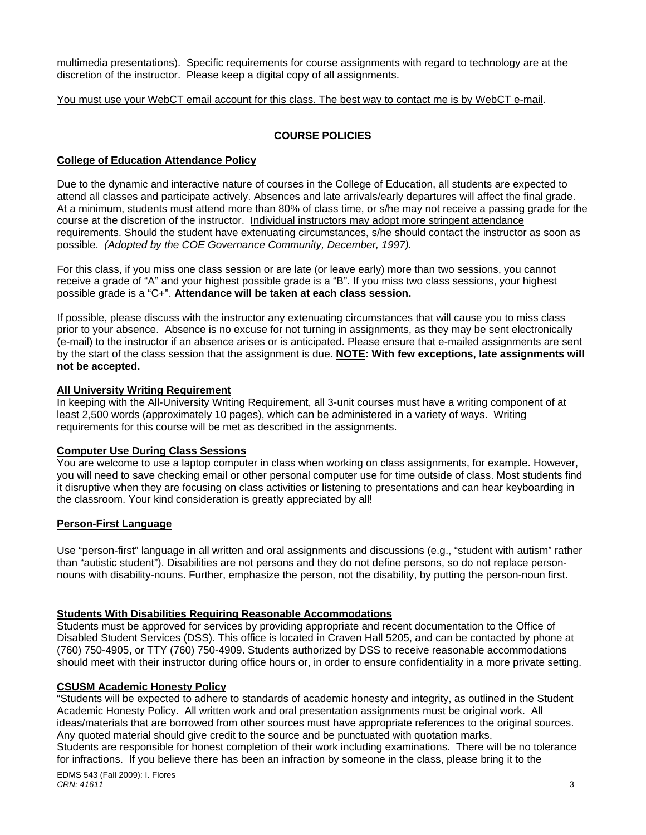multimedia presentations). Specific requirements for course assignments with regard to technology are at the discretion of the instructor. Please keep a digital copy of all assignments.

You must use your WebCT email account for this class. The best way to contact me is by WebCT e-mail.

## **COURSE POLICIES**

## **College of Education Attendance Policy**

 possible. *(Adopted by the COE Governance Community, December, 1997).* Due to the dynamic and interactive nature of courses in the College of Education, all students are expected to attend all classes and participate actively. Absences and late arrivals/early departures will affect the final grade. At a minimum, students must attend more than 80% of class time, or s/he may not receive a passing grade for the course at the discretion of the instructor. Individual instructors may adopt more stringent attendance requirements. Should the student have extenuating circumstances, s/he should contact the instructor as soon as

For this class, if you miss one class session or are late (or leave early) more than two sessions, you cannot receive a grade of "A" and your highest possible grade is a "B". If you miss two class sessions, your highest possible grade is a "C+". **Attendance will be taken at each class session.** 

If possible, please discuss with the instructor any extenuating circumstances that will cause you to miss class prior to your absence. Absence is no excuse for not turning in assignments, as they may be sent electronically (e-mail) to the instructor if an absence arises or is anticipated. Please ensure that e-mailed assignments are sent by the start of the class session that the assignment is due. **NOTE: With few exceptions, late assignments will not be accepted.** 

## **All University Writing Requirement**

In keeping with the All-University Writing Requirement, all 3-unit courses must have a writing component of at least 2,500 words (approximately 10 pages), which can be administered in a variety of ways. Writing requirements for this course will be met as described in the assignments.

#### **Computer Use During Class Sessions**

You are welcome to use a laptop computer in class when working on class assignments, for example. However, you will need to save checking email or other personal computer use for time outside of class. Most students find it disruptive when they are focusing on class activities or listening to presentations and can hear keyboarding in the classroom. Your kind consideration is greatly appreciated by all!

#### **Person-First Language**

Use "person-first" language in all written and oral assignments and discussions (e.g., "student with autism" rather than "autistic student"). Disabilities are not persons and they do not define persons, so do not replace personnouns with disability-nouns. Further, emphasize the person, not the disability, by putting the person-noun first.

## **Students With Disabilities Requiring Reasonable Accommodations**

Students must be approved for services by providing appropriate and recent documentation to the Office of Disabled Student Services (DSS). This office is located in Craven Hall 5205, and can be contacted by phone at (760) 750-4905, or TTY (760) 750-4909. Students authorized by DSS to receive reasonable accommodations should meet with their instructor during office hours or, in order to ensure confidentiality in a more private setting.

#### **CSUSM Academic Honesty Policy**

"Students will be expected to adhere to standards of academic honesty and integrity, as outlined in the Student Academic Honesty Policy. All written work and oral presentation assignments must be original work. All ideas/materials that are borrowed from other sources must have appropriate references to the original sources. Any quoted material should give credit to the source and be punctuated with quotation marks. Students are responsible for honest completion of their work including examinations. There will be no tolerance

for infractions. If you believe there has been an infraction by someone in the class, please bring it to the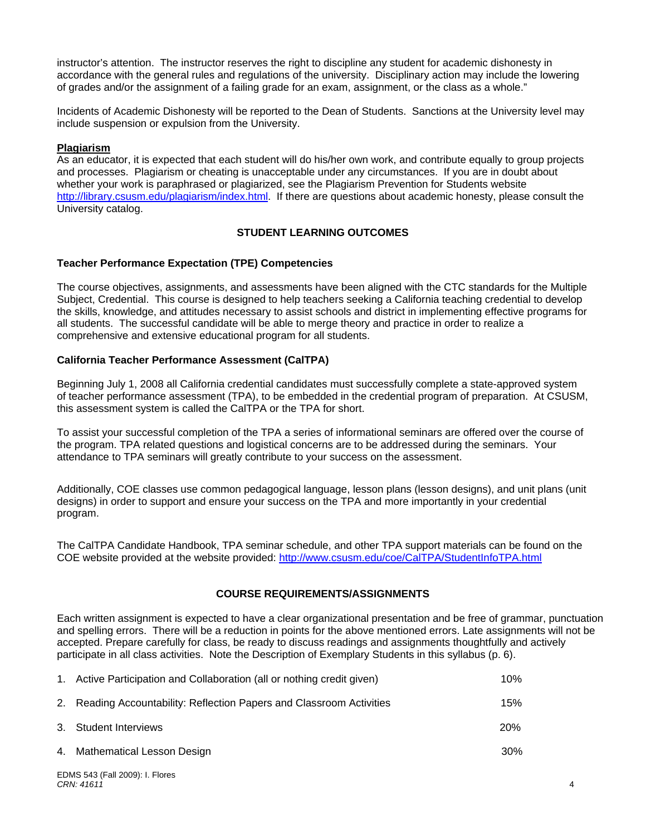instructor's attention. The instructor reserves the right to discipline any student for academic dishonesty in accordance with the general rules and regulations of the university. Disciplinary action may include the lowering of grades and/or the assignment of a failing grade for an exam, assignment, or the class as a whole."

Incidents of Academic Dishonesty will be reported to the Dean of Students. Sanctions at the University level may include suspension or expulsion from the University.

## **Plagiarism**

As an educator, it is expected that each student will do his/her own work, and contribute equally to group projects and processes. Plagiarism or cheating is unacceptable under any circumstances. If you are in doubt about whether your work is paraphrased or plagiarized, see the Plagiarism Prevention for Students website http://library.csusm.edu/plagiarism/index.html. If there are questions about academic honesty, please consult the University catalog.

## **STUDENT LEARNING OUTCOMES**

#### **Teacher Performance Expectation (TPE) Competencies**

The course objectives, assignments, and assessments have been aligned with the CTC standards for the Multiple Subject, Credential. This course is designed to help teachers seeking a California teaching credential to develop the skills, knowledge, and attitudes necessary to assist schools and district in implementing effective programs for all students. The successful candidate will be able to merge theory and practice in order to realize a comprehensive and extensive educational program for all students.

## **California Teacher Performance Assessment (CalTPA)**

Beginning July 1, 2008 all California credential candidates must successfully complete a state-approved system of teacher performance assessment (TPA), to be embedded in the credential program of preparation. At CSUSM, this assessment system is called the CalTPA or the TPA for short.

To assist your successful completion of the TPA a series of informational seminars are offered over the course of the program. TPA related questions and logistical concerns are to be addressed during the seminars. Your attendance to TPA seminars will greatly contribute to your success on the assessment.

Additionally, COE classes use common pedagogical language, lesson plans (lesson designs), and unit plans (unit designs) in order to support and ensure your success on the TPA and more importantly in your credential program.

The CalTPA Candidate Handbook, TPA seminar schedule, and other TPA support materials can be found on the COE website provided at the website provided: http://www.csusm.edu/coe/CalTPA/StudentInfoTPA.html

## **COURSE REQUIREMENTS/ASSIGNMENTS**

Each written assignment is expected to have a clear organizational presentation and be free of grammar, punctuation and spelling errors. There will be a reduction in points for the above mentioned errors. Late assignments will not be accepted. Prepare carefully for class, be ready to discuss readings and assignments thoughtfully and actively participate in all class activities. Note the Description of Exemplary Students in this syllabus (p. 6).

| 1. Active Participation and Collaboration (all or nothing credit given) | 10%        |
|-------------------------------------------------------------------------|------------|
| 2. Reading Accountability: Reflection Papers and Classroom Activities   | 15%        |
| 3. Student Interviews                                                   | <b>20%</b> |
| 4. Mathematical Lesson Design                                           | $30\%$     |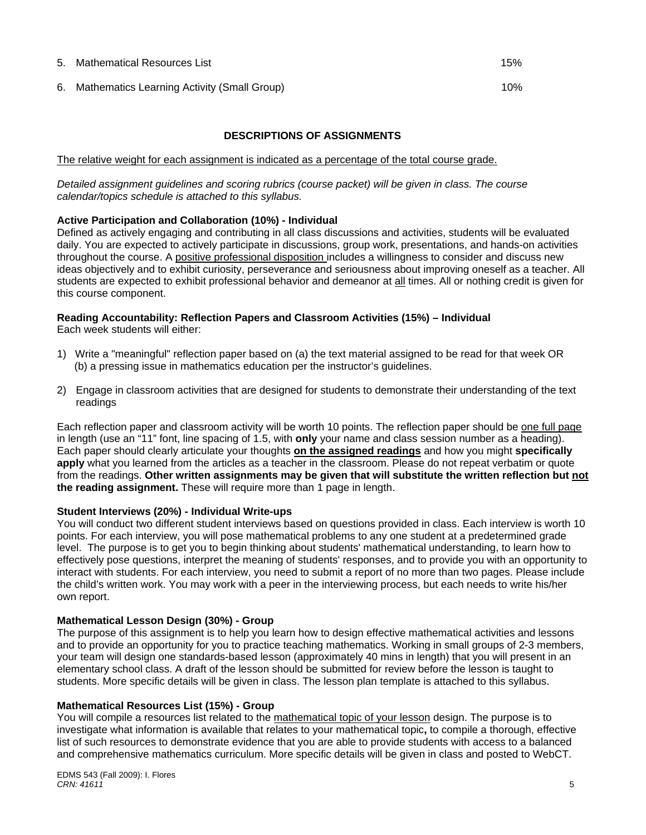#### 5. Mathematical Resources List 15%

6. Mathematics Learning Activity (Small Group) 10%

# **DESCRIPTIONS OF ASSIGNMENTS**

The relative weight for each assignment is indicated as a percentage of the total course grade.

*Detailed assignment guidelines and scoring rubrics (course packet) will be given in class. The course calendar/topics schedule is attached to this syllabus.* 

#### **Active Participation and Collaboration (10%) - Individual**

Defined as actively engaging and contributing in all class discussions and activities, students will be evaluated daily. You are expected to actively participate in discussions, group work, presentations, and hands-on activities throughout the course. A positive professional disposition includes a willingness to consider and discuss new ideas objectively and to exhibit curiosity, perseverance and seriousness about improving oneself as a teacher. All students are expected to exhibit professional behavior and demeanor at all times. All or nothing credit is given for this course component.

# **Reading Accountability: Reflection Papers and Classroom Activities (15%) – Individual**

Each week students will either:

- 1) Write a "meaningful" reflection paper based on (a) the text material assigned to be read for that week OR (b) a pressing issue in mathematics education per the instructor's guidelines.
- 2) Engage in classroom activities that are designed for students to demonstrate their understanding of the text readings

Each reflection paper and classroom activity will be worth 10 points. The reflection paper should be one full page in length (use an "11" font, line spacing of 1.5, with **only** your name and class session number as a heading). Each paper should clearly articulate your thoughts **on the assigned readings** and how you might **specifically apply** what you learned from the articles as a teacher in the classroom. Please do not repeat verbatim or quote from the readings. **Other written assignments may be given that will substitute the written reflection but not the reading assignment.** These will require more than 1 page in length.

#### **Student Interviews (20%) - Individual Write-ups**

You will conduct two different student interviews based on questions provided in class. Each interview is worth 10 points. For each interview, you will pose mathematical problems to any one student at a predetermined grade level. The purpose is to get you to begin thinking about students' mathematical understanding, to learn how to effectively pose questions, interpret the meaning of students' responses, and to provide you with an opportunity to interact with students. For each interview, you need to submit a report of no more than two pages. Please include the child's written work. You may work with a peer in the interviewing process, but each needs to write his/her own report.

#### **Mathematical Lesson Design (30%) - Group**

The purpose of this assignment is to help you learn how to design effective mathematical activities and lessons and to provide an opportunity for you to practice teaching mathematics. Working in small groups of 2-3 members, your team will design one standards-based lesson (approximately 40 mins in length) that you will present in an elementary school class. A draft of the lesson should be submitted for review before the lesson is taught to students. More specific details will be given in class. The lesson plan template is attached to this syllabus.

#### **Mathematical Resources List (15%) - Group**

You will compile a resources list related to the mathematical topic of your lesson design. The purpose is to investigate what information is available that relates to your mathematical topic**,** to compile a thorough, effective list of such resources to demonstrate evidence that you are able to provide students with access to a balanced and comprehensive mathematics curriculum. More specific details will be given in class and posted to WebCT.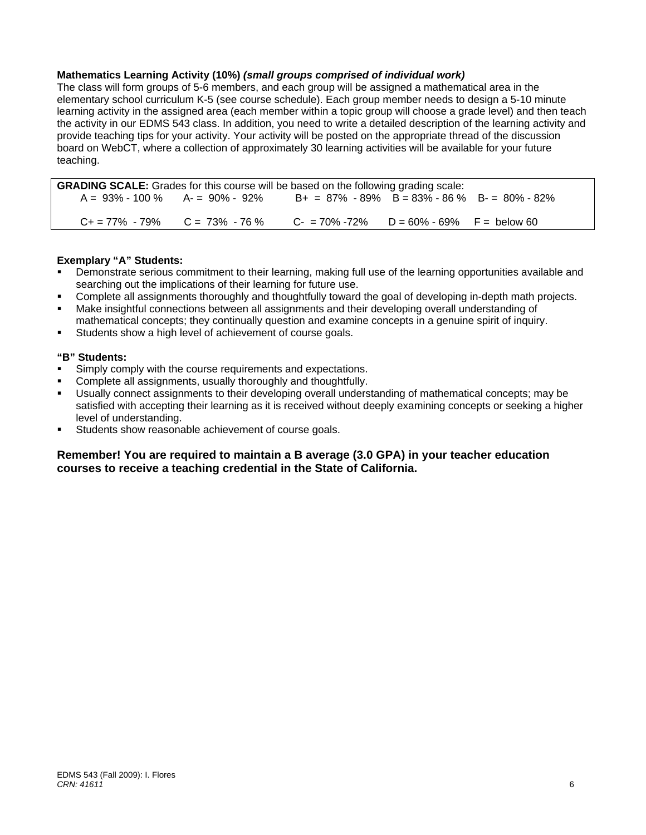## **Mathematics Learning Activity (10%)** *(small groups comprised of individual work)*

The class will form groups of 5-6 members, and each group will be assigned a mathematical area in the elementary school curriculum K-5 (see course schedule). Each group member needs to design a 5-10 minute learning activity in the assigned area (each member within a topic group will choose a grade level) and then teach the activity in our EDMS 543 class. In addition, you need to write a detailed description of the learning activity and provide teaching tips for your activity. Your activity will be posted on the appropriate thread of the discussion board on WebCT, where a collection of approximately 30 learning activities will be available for your future teaching.

| <b>GRADING SCALE:</b> Grades for this course will be based on the following grading scale: |                                                                                          |                                                 |  |  |
|--------------------------------------------------------------------------------------------|------------------------------------------------------------------------------------------|-------------------------------------------------|--|--|
| A = 93% - 100 % A- = 90% - 92%                                                             |                                                                                          | $B+ = 87\% - 89\%$ B = 83% - 86 % B - 80% - 82% |  |  |
|                                                                                            |                                                                                          |                                                 |  |  |
|                                                                                            | $C_1 = 77\% - 79\%$ $C = 73\% - 76\%$ $C_2 = 70\% - 72\%$ $D = 60\% - 69\%$ F = below 60 |                                                 |  |  |

## **Exemplary "A" Students:**

- Demonstrate serious commitment to their learning, making full use of the learning opportunities available and searching out the implications of their learning for future use.
- Complete all assignments thoroughly and thoughtfully toward the goal of developing in-depth math projects.
- Make insightful connections between all assignments and their developing overall understanding of mathematical concepts; they continually question and examine concepts in a genuine spirit of inquiry.
- Students show a high level of achievement of course goals.

## **"B" Students:**

- **Simply comply with the course requirements and expectations.**
- Complete all assignments, usually thoroughly and thoughtfully.
- Usually connect assignments to their developing overall understanding of mathematical concepts; may be satisfied with accepting their learning as it is received without deeply examining concepts or seeking a higher level of understanding.
- Students show reasonable achievement of course goals.

## **Remember! You are required to maintain a B average (3.0 GPA) in your teacher education courses to receive a teaching credential in the State of California.**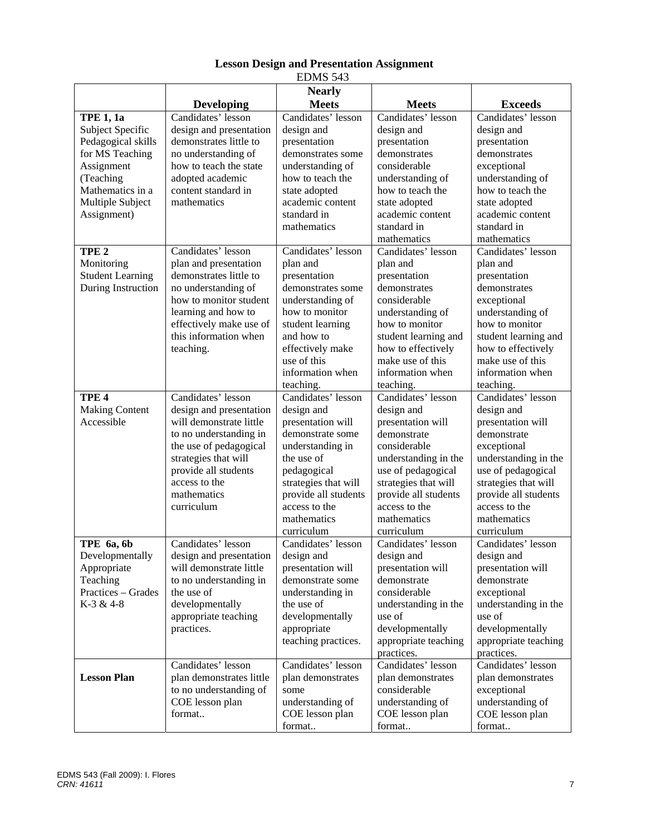| כ+כ ממותב                                                                                                                                                  |                                                                                                                                                                                                                            |                                                                                                                                                                                                                          |                                                                                                                                                                                                                                  |                                                                                                                                                                                                                                 |
|------------------------------------------------------------------------------------------------------------------------------------------------------------|----------------------------------------------------------------------------------------------------------------------------------------------------------------------------------------------------------------------------|--------------------------------------------------------------------------------------------------------------------------------------------------------------------------------------------------------------------------|----------------------------------------------------------------------------------------------------------------------------------------------------------------------------------------------------------------------------------|---------------------------------------------------------------------------------------------------------------------------------------------------------------------------------------------------------------------------------|
|                                                                                                                                                            | <b>Developing</b>                                                                                                                                                                                                          | <b>Nearly</b><br><b>Meets</b>                                                                                                                                                                                            | <b>Meets</b>                                                                                                                                                                                                                     | <b>Exceeds</b>                                                                                                                                                                                                                  |
| TPE $1, 1a$<br>Subject Specific<br>Pedagogical skills<br>for MS Teaching<br>Assignment<br>(Teaching<br>Mathematics in a<br>Multiple Subject<br>Assignment) | Candidates' lesson<br>design and presentation<br>demonstrates little to<br>no understanding of<br>how to teach the state<br>adopted academic<br>content standard in<br>mathematics                                         | Candidates' lesson<br>design and<br>presentation<br>demonstrates some<br>understanding of<br>how to teach the<br>state adopted<br>academic content<br>standard in<br>mathematics                                         | Candidates' lesson<br>design and<br>presentation<br>demonstrates<br>considerable<br>understanding of<br>how to teach the<br>state adopted<br>academic content<br>standard in<br>mathematics                                      | Candidates' lesson<br>design and<br>presentation<br>demonstrates<br>exceptional<br>understanding of<br>how to teach the<br>state adopted<br>academic content<br>standard in<br>mathematics                                      |
| TPE <sub>2</sub><br>Monitoring<br><b>Student Learning</b><br>During Instruction                                                                            | Candidates' lesson<br>plan and presentation<br>demonstrates little to<br>no understanding of<br>how to monitor student<br>learning and how to<br>effectively make use of<br>this information when<br>teaching.             | Candidates' lesson<br>plan and<br>presentation<br>demonstrates some<br>understanding of<br>how to monitor<br>student learning<br>and how to<br>effectively make<br>use of this<br>information when<br>teaching.          | Candidates' lesson<br>plan and<br>presentation<br>demonstrates<br>considerable<br>understanding of<br>how to monitor<br>student learning and<br>how to effectively<br>make use of this<br>information when<br>teaching.          | Candidates' lesson<br>plan and<br>presentation<br>demonstrates<br>exceptional<br>understanding of<br>how to monitor<br>student learning and<br>how to effectively<br>make use of this<br>information when<br>teaching.          |
| TPE <sub>4</sub><br><b>Making Content</b><br>Accessible                                                                                                    | Candidates' lesson<br>design and presentation<br>will demonstrate little<br>to no understanding in<br>the use of pedagogical<br>strategies that will<br>provide all students<br>access to the<br>mathematics<br>curriculum | Candidates' lesson<br>design and<br>presentation will<br>demonstrate some<br>understanding in<br>the use of<br>pedagogical<br>strategies that will<br>provide all students<br>access to the<br>mathematics<br>curriculum | Candidates' lesson<br>design and<br>presentation will<br>demonstrate<br>considerable<br>understanding in the<br>use of pedagogical<br>strategies that will<br>provide all students<br>access to the<br>mathematics<br>curriculum | Candidates' lesson<br>design and<br>presentation will<br>demonstrate<br>exceptional<br>understanding in the<br>use of pedagogical<br>strategies that will<br>provide all students<br>access to the<br>mathematics<br>curriculum |
| TPE 6a, 6b<br>Developmentally<br>Appropriate<br>Teaching<br>Practices – Grades<br>K-3 & 4-8                                                                | Candidates' lesson<br>design and presentation<br>will demonstrate little<br>to no understanding in<br>the use of<br>developmentally<br>appropriate teaching<br>practices.                                                  | Candidates' lesson<br>design and<br>presentation will<br>demonstrate some<br>understanding in<br>the use of<br>developmentally<br>appropriate<br>teaching practices.                                                     | Candidates' lesson<br>design and<br>presentation will<br>demonstrate<br>considerable<br>understanding in the<br>use of<br>developmentally<br>appropriate teaching<br>practices.                                                  | Candidates' lesson<br>design and<br>presentation will<br>demonstrate<br>exceptional<br>understanding in the<br>use of<br>developmentally<br>appropriate teaching<br>practices.                                                  |
| <b>Lesson Plan</b>                                                                                                                                         | Candidates' lesson<br>plan demonstrates little<br>to no understanding of<br>COE lesson plan<br>format                                                                                                                      | Candidates' lesson<br>plan demonstrates<br>some<br>understanding of<br>COE lesson plan<br>format                                                                                                                         | Candidates' lesson<br>plan demonstrates<br>considerable<br>understanding of<br>COE lesson plan<br>format                                                                                                                         | Candidates' lesson<br>plan demonstrates<br>exceptional<br>understanding of<br>COE lesson plan<br>format                                                                                                                         |

## **Lesson Design and Presentation Assignment**  EDMS 543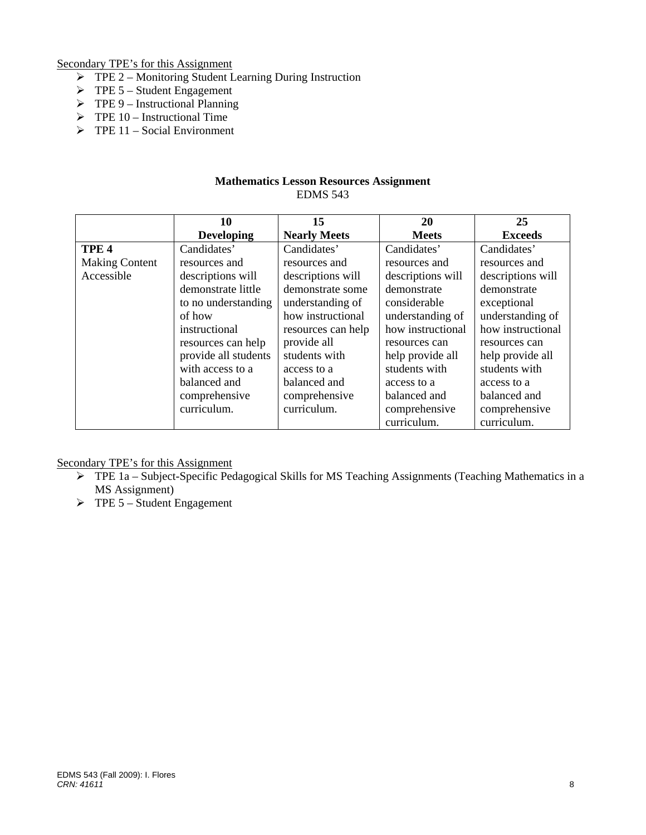Secondary TPE's for this Assignment

- $\triangleright$  TPE 2 Monitoring Student Learning During Instruction
- $\triangleright$  TPE 5 Student Engagement
- $\triangleright$  TPE 9 Instructional Planning
- $\triangleright$  TPE 10 Instructional Time
- $\triangleright$  TPE 11 Social Environment

## **Mathematics Lesson Resources Assignment**  EDMS 543

|                       | 10                   | 15                  | 20                | 25                |
|-----------------------|----------------------|---------------------|-------------------|-------------------|
|                       | <b>Developing</b>    | <b>Nearly Meets</b> | <b>Meets</b>      | <b>Exceeds</b>    |
| TPE <sub>4</sub>      | Candidates'          | Candidates'         | Candidates'       | Candidates'       |
| <b>Making Content</b> | resources and        | resources and       | resources and     | resources and     |
| Accessible            | descriptions will    | descriptions will   | descriptions will | descriptions will |
|                       | demonstrate little   | demonstrate some    | demonstrate       | demonstrate       |
|                       | to no understanding  | understanding of    | considerable      | exceptional       |
|                       | of how               | how instructional   | understanding of  | understanding of  |
|                       | instructional        | resources can help  | how instructional | how instructional |
|                       | resources can help   | provide all         | resources can     | resources can     |
|                       | provide all students | students with       | help provide all  | help provide all  |
|                       | with access to a     | access to a         | students with     | students with     |
|                       | balanced and         | balanced and        | access to a       | access to a       |
|                       | comprehensive        | comprehensive       | balanced and      | balanced and      |
|                       | curriculum.          | curriculum.         | comprehensive     | comprehensive     |
|                       |                      |                     | curriculum.       | curriculum.       |

Secondary TPE's for this Assignment

- $\triangleright$  TPE 1a Subject-Specific Pedagogical Skills for MS Teaching Assignments (Teaching Mathematics in a MS Assignment)
- $\triangleright$  TPE 5 Student Engagement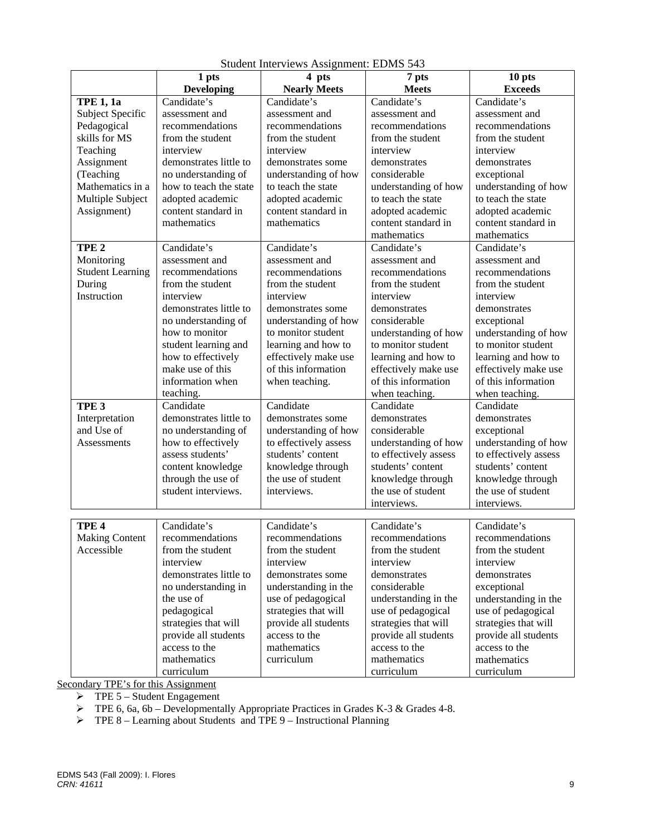|                         | 1 pts                  | 4 pts                 | 7 pts                 | 10 pts                |
|-------------------------|------------------------|-----------------------|-----------------------|-----------------------|
|                         | <b>Developing</b>      | <b>Nearly Meets</b>   | <b>Meets</b>          | <b>Exceeds</b>        |
| <b>TPE 1, 1a</b>        | Candidate's            | Candidate's           | Candidate's           | Candidate's           |
| Subject Specific        | assessment and         | assessment and        | assessment and        | assessment and        |
| Pedagogical             | recommendations        | recommendations       | recommendations       | recommendations       |
| skills for MS           | from the student       | from the student      | from the student      | from the student      |
| Teaching                | interview              | interview             | interview             | interview             |
| Assignment              | demonstrates little to | demonstrates some     | demonstrates          | demonstrates          |
| (Teaching               | no understanding of    | understanding of how  | considerable          | exceptional           |
| Mathematics in a        | how to teach the state | to teach the state    | understanding of how  | understanding of how  |
| Multiple Subject        | adopted academic       | adopted academic      | to teach the state    | to teach the state    |
| Assignment)             | content standard in    | content standard in   | adopted academic      | adopted academic      |
|                         | mathematics            | mathematics           | content standard in   | content standard in   |
|                         |                        |                       | mathematics           | mathematics           |
| TPE <sub>2</sub>        | Candidate's            | Candidate's           | Candidate's           | Candidate's           |
| Monitoring              | assessment and         | assessment and        | assessment and        | assessment and        |
| <b>Student Learning</b> | recommendations        | recommendations       | recommendations       | recommendations       |
| During                  | from the student       | from the student      | from the student      | from the student      |
| Instruction             | interview              | interview             | interview             | interview             |
|                         | demonstrates little to | demonstrates some     | demonstrates          | demonstrates          |
|                         | no understanding of    | understanding of how  | considerable          | exceptional           |
|                         | how to monitor         | to monitor student    | understanding of how  | understanding of how  |
|                         | student learning and   | learning and how to   | to monitor student    | to monitor student    |
|                         | how to effectively     | effectively make use  | learning and how to   | learning and how to   |
|                         | make use of this       | of this information   | effectively make use  | effectively make use  |
|                         | information when       | when teaching.        | of this information   | of this information   |
|                         | teaching.              |                       | when teaching.        | when teaching.        |
| TPE <sub>3</sub>        | Candidate              | Candidate             | Candidate             | Candidate             |
| Interpretation          | demonstrates little to | demonstrates some     | demonstrates          | demonstrates          |
| and Use of              | no understanding of    | understanding of how  | considerable          | exceptional           |
| <b>Assessments</b>      | how to effectively     | to effectively assess | understanding of how  | understanding of how  |
|                         | assess students'       | students' content     | to effectively assess | to effectively assess |
|                         | content knowledge      | knowledge through     | students' content     | students' content     |
|                         | through the use of     | the use of student    | knowledge through     | knowledge through     |
|                         | student interviews.    | interviews.           | the use of student    | the use of student    |
|                         |                        |                       | interviews.           | interviews.           |
|                         |                        |                       |                       |                       |
| TPE <sub>4</sub>        | Candidate's            | Candidate's           | Candidate's           | Candidate's           |
| <b>Making Content</b>   | recommendations        | recommendations       | recommendations       | recommendations       |
| Accessible              | from the student       | from the student      | from the student      | from the student      |
|                         | interview              | interview             | interview             | interview             |
|                         | demonstrates little to | demonstrates some     | demonstrates          | demonstrates          |
|                         | no understanding in    | understanding in the  | considerable          | exceptional           |
|                         | the use of             | use of pedagogical    | understanding in the  | understanding in the  |
|                         | pedagogical            | strategies that will  | use of pedagogical    | use of pedagogical    |
|                         | strategies that will   | provide all students  | strategies that will  | strategies that will  |
|                         | provide all students   | access to the         | provide all students  | provide all students  |
|                         | access to the          | mathematics           | access to the         | access to the         |
|                         | mathematics            | curriculum            | mathematics           | mathematics           |
|                         | curriculum             |                       | curriculum            | curriculum            |

Student Interviews Assignment: EDMS 543

Secondary TPE's for this Assignment

 $\triangleright$  TPE 5 – Student Engagement

 $\triangleright$  TPE 6, 6a, 6b – Developmentally Appropriate Practices in Grades K-3 & Grades 4-8.

 $\triangleright$  TPE 8 – Learning about Students and TPE 9 – Instructional Planning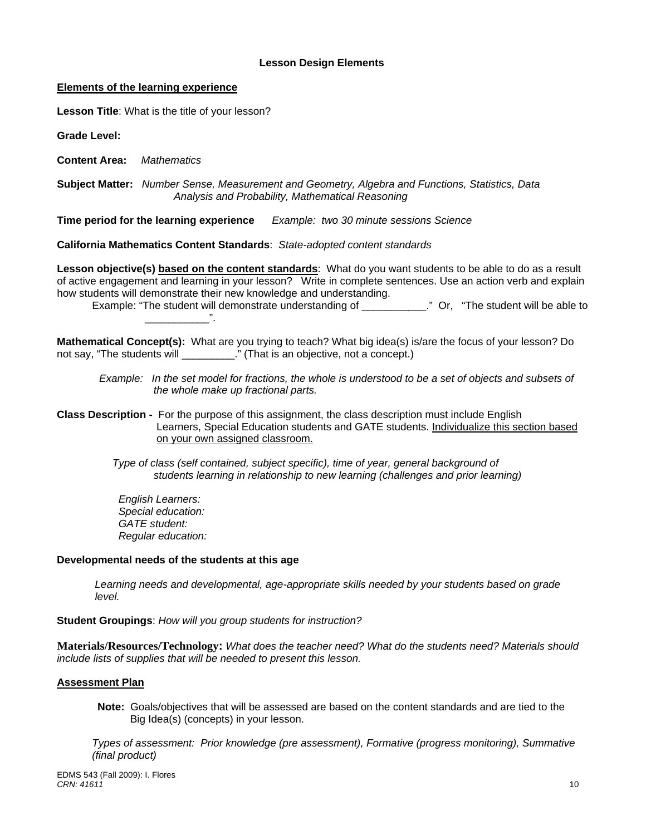#### **Lesson Design Elements**

#### **Elements of the learning experience**

**Lesson Title**: What is the title of your lesson?

**Grade Level:** 

**Content Area:** *Mathematics* 

 **Subject Matter:** *Number Sense, Measurement and Geometry, Algebra and Functions, Statistics, Data Analysis and Probability, Mathematical Reasoning* 

Time period for the learning experience **Example: two 30 minute sessions Science** 

**California Mathematics Content Standards**: *State-adopted content standards* 

**Lesson objective(s) based on the content standards**: What do you want students to be able to do as a result of active engagement and learning in your lesson? Write in complete sentences. Use an action verb and explain how students will demonstrate their new knowledge and understanding.

 Example: "The student will demonstrate understanding of \_\_\_\_\_\_\_\_\_\_\_." Or, "The student will be able to \_\_\_\_\_\_\_\_\_\_\_".

**Mathematical Concept(s):** What are you trying to teach? What big idea(s) is/are the focus of your lesson? Do not say, "The students will \_\_\_\_\_\_\_\_\_." (That is an objective, not a concept.)

*Example: In the set model for fractions, the whole is understood to be a set of objects and subsets of the whole make up fractional parts.* 

**Class Description -** For the purpose of this assignment, the class description must include English Learners, Special Education students and GATE students. Individualize this section based on your own assigned classroom.

> *Type of class (self contained, subject specific), time of year, general background of students learning in relationship to new learning (challenges and prior learning)*

*English Learners: Special education: GATE student: Regular education:* 

#### **Developmental needs of the students at this age**

*Learning needs and developmental, age-appropriate skills needed by your students based on grade level.* 

**Student Groupings**: *How will you group students for instruction?* 

**Materials/Resources/Technology:** *What does the teacher need? What do the students need? Materials should include lists of supplies that will be needed to present this lesson.* 

#### **Assessment Plan**

**Note:** Goals/objectives that will be assessed are based on the content standards and are tied to the Big Idea(s) (concepts) in your lesson.

 *Types of assessment: Prior knowledge (pre assessment), Formative (progress monitoring), Summative (final product)*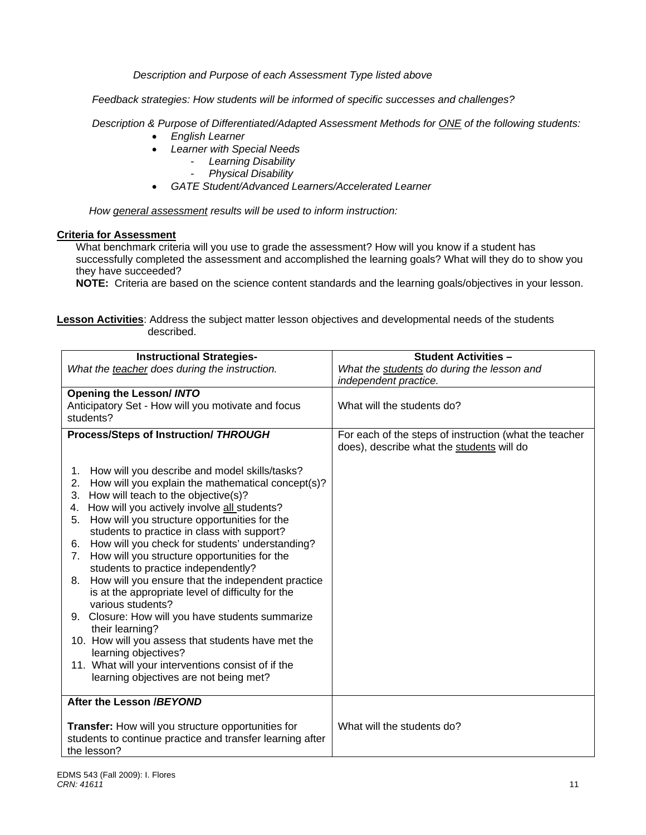*Description and Purpose of each Assessment Type listed above* 

 *Feedback strategies: How students will be informed of specific successes and challenges?*

 *Description & Purpose of Differentiated/Adapted Assessment Methods for ONE of the following students:* 

- *English Learner*
- *Learner with Special Needs* 
	- *Learning Disability* 
		- *Physical Disability*
- *GATE Student/Advanced Learners/Accelerated Learner*

*How general assessment results will be used to inform instruction:* 

## **Criteria for Assessment**

What benchmark criteria will you use to grade the assessment? How will you know if a student has successfully completed the assessment and accomplished the learning goals? What will they do to show you they have succeeded?

**NOTE:** Criteria are based on the science content standards and the learning goals/objectives in your lesson.

**Lesson Activities**: Address the subject matter lesson objectives and developmental needs of the students described.

| <b>Instructional Strategies-</b>                               | <b>Student Activities -</b>                            |  |
|----------------------------------------------------------------|--------------------------------------------------------|--|
| What the teacher does during the instruction.                  | What the students do during the lesson and             |  |
|                                                                | independent practice.                                  |  |
| <b>Opening the Lesson/ INTO</b>                                |                                                        |  |
| Anticipatory Set - How will you motivate and focus             | What will the students do?                             |  |
| students?                                                      |                                                        |  |
| <b>Process/Steps of Instruction/ THROUGH</b>                   | For each of the steps of instruction (what the teacher |  |
|                                                                | does), describe what the students will do              |  |
|                                                                |                                                        |  |
| How will you describe and model skills/tasks?<br>1.            |                                                        |  |
| How will you explain the mathematical concept(s)?<br>2.        |                                                        |  |
| How will teach to the objective(s)?<br>3.                      |                                                        |  |
| How will you actively involve all students?<br>4.              |                                                        |  |
| How will you structure opportunities for the<br>5.             |                                                        |  |
| students to practice in class with support?                    |                                                        |  |
| How will you check for students' understanding?<br>6.          |                                                        |  |
| How will you structure opportunities for the<br>7 <sub>1</sub> |                                                        |  |
| students to practice independently?                            |                                                        |  |
| 8. How will you ensure that the independent practice           |                                                        |  |
| is at the appropriate level of difficulty for the              |                                                        |  |
| various students?                                              |                                                        |  |
| 9. Closure: How will you have students summarize               |                                                        |  |
| their learning?                                                |                                                        |  |
| 10. How will you assess that students have met the             |                                                        |  |
| learning objectives?                                           |                                                        |  |
| 11. What will your interventions consist of if the             |                                                        |  |
| learning objectives are not being met?                         |                                                        |  |
| After the Lesson /BEYOND                                       |                                                        |  |
|                                                                |                                                        |  |
| Transfer: How will you structure opportunities for             | What will the students do?                             |  |
| students to continue practice and transfer learning after      |                                                        |  |
| the lesson?                                                    |                                                        |  |
|                                                                |                                                        |  |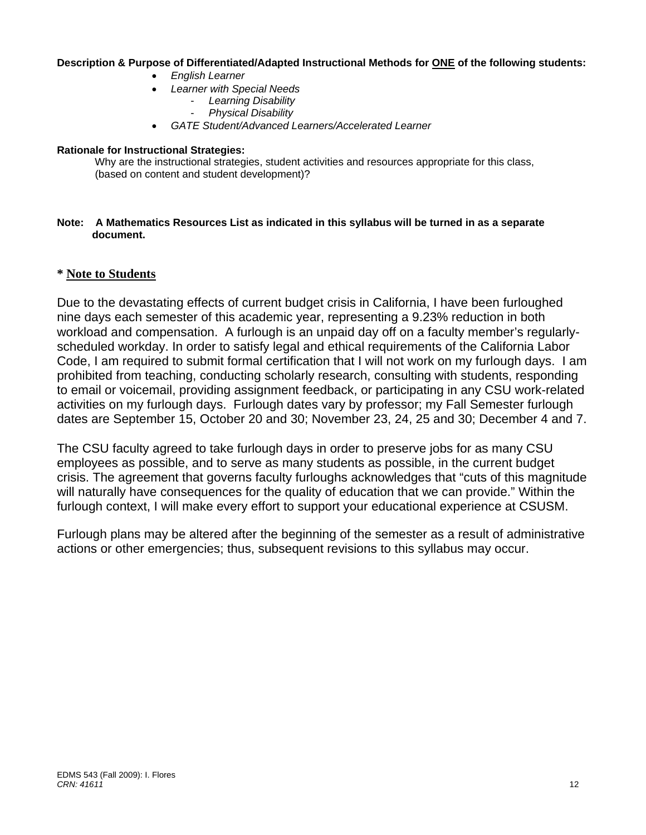## **Description & Purpose of Differentiated/Adapted Instructional Methods for ONE of the following students:**

- *English Learner*
- *Learner with Special Needs* 
	- *Learning Disability*
	- *Physical Disability*
- *GATE Student/Advanced Learners/Accelerated Learner*

## **Rationale for Instructional Strategies:**

Why are the instructional strategies, student activities and resources appropriate for this class, (based on content and student development)?

#### **Note: A Mathematics Resources List as indicated in this syllabus will be turned in as a separate document.**

# **\* Note to Students**

Due to the devastating effects of current budget crisis in California, I have been furloughed nine days each semester of this academic year, representing a 9.23% reduction in both workload and compensation. A furlough is an unpaid day off on a faculty member's regularlyscheduled workday. In order to satisfy legal and ethical requirements of the California Labor Code, I am required to submit formal certification that I will not work on my furlough days. I am prohibited from teaching, conducting scholarly research, consulting with students, responding to email or voicemail, providing assignment feedback, or participating in any CSU work-related activities on my furlough days. Furlough dates vary by professor; my Fall Semester furlough dates are September 15, October 20 and 30; November 23, 24, 25 and 30; December 4 and 7.

The CSU faculty agreed to take furlough days in order to preserve jobs for as many CSU employees as possible, and to serve as many students as possible, in the current budget crisis. The agreement that governs faculty furloughs acknowledges that "cuts of this magnitude will naturally have consequences for the quality of education that we can provide." Within the furlough context, I will make every effort to support your educational experience at CSUSM.

Furlough plans may be altered after the beginning of the semester as a result of administrative actions or other emergencies; thus, subsequent revisions to this syllabus may occur.